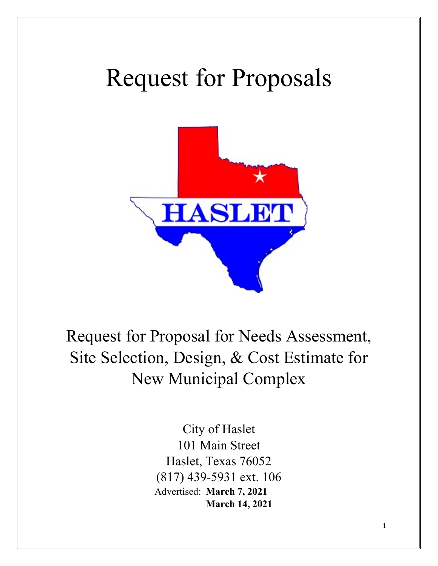# Request for Proposals



Request for Proposal for Needs Assessment, Site Selection, Design, & Cost Estimate for New Municipal Complex

> City of Haslet 101 Main Street Haslet, Texas 76052 (817) 439-5931 ext. 106 Advertised: **March 7, 2021 March 14, 2021**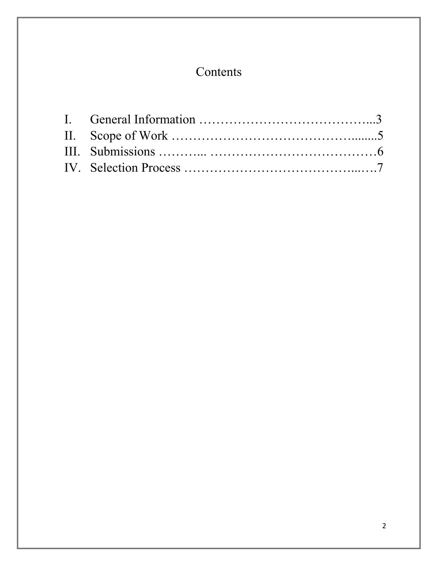## Contents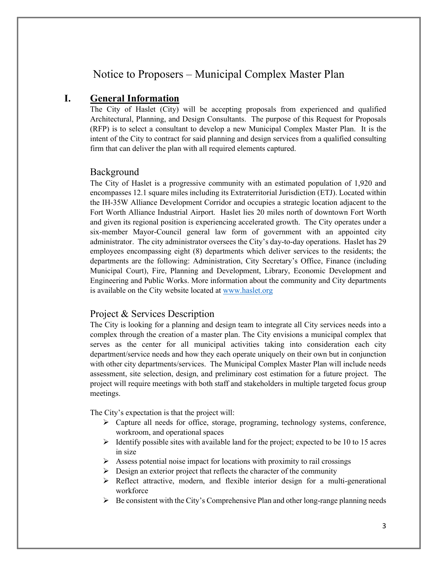## Notice to Proposers – Municipal Complex Master Plan

## **I. General Information**

The City of Haslet (City) will be accepting proposals from experienced and qualified Architectural, Planning, and Design Consultants. The purpose of this Request for Proposals (RFP) is to select a consultant to develop a new Municipal Complex Master Plan. It is the intent of the City to contract for said planning and design services from a qualified consulting firm that can deliver the plan with all required elements captured.

#### Background

The City of Haslet is a progressive community with an estimated population of 1,920 and encompasses 12.1 square miles including its Extraterritorial Jurisdiction (ETJ). Located within the IH-35W Alliance Development Corridor and occupies a strategic location adjacent to the Fort Worth Alliance Industrial Airport. Haslet lies 20 miles north of downtown Fort Worth and given its regional position is experiencing accelerated growth. The City operates under a six-member Mayor-Council general law form of government with an appointed city administrator. The city administrator oversees the City's day-to-day operations. Haslet has 29 employees encompassing eight (8) departments which deliver services to the residents; the departments are the following: Administration, City Secretary's Office, Finance (including Municipal Court), Fire, Planning and Development, Library, Economic Development and Engineering and Public Works. More information about the community and City departments is available on the City website located a[t www.haslet.org](http://www.haslet.org/)

## Project & Services Description

The City is looking for a planning and design team to integrate all City services needs into a complex through the creation of a master plan. The City envisions a municipal complex that serves as the center for all municipal activities taking into consideration each city department/service needs and how they each operate uniquely on their own but in conjunction with other city departments/services. The Municipal Complex Master Plan will include needs assessment, site selection, design, and preliminary cost estimation for a future project. The project will require meetings with both staff and stakeholders in multiple targeted focus group meetings.

The City's expectation is that the project will:

- $\triangleright$  Capture all needs for office, storage, programing, technology systems, conference, workroom, and operational spaces
- $\triangleright$  Identify possible sites with available land for the project; expected to be 10 to 15 acres in size
- $\triangleright$  Assess potential noise impact for locations with proximity to rail crossings
- $\triangleright$  Design an exterior project that reflects the character of the community
- $\triangleright$  Reflect attractive, modern, and flexible interior design for a multi-generational workforce
- $\triangleright$  Be consistent with the City's Comprehensive Plan and other long-range planning needs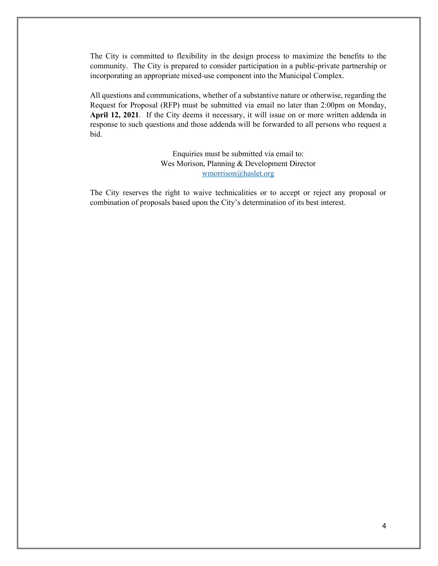The City is committed to flexibility in the design process to maximize the benefits to the community. The City is prepared to consider participation in a public-private partnership or incorporating an appropriate mixed-use component into the Municipal Complex.

All questions and communications, whether of a substantive nature or otherwise, regarding the Request for Proposal (RFP) must be submitted via email no later than 2:00pm on Monday, **April 12, 2021**. If the City deems it necessary, it will issue on or more written addenda in response to such questions and those addenda will be forwarded to all persons who request a bid.

> Enquiries must be submitted via email to: Wes Morison, Planning & Development Director [wmorrison@haslet.org](mailto:wmorrison@haslet.org)

The City reserves the right to waive technicalities or to accept or reject any proposal or combination of proposals based upon the City's determination of its best interest.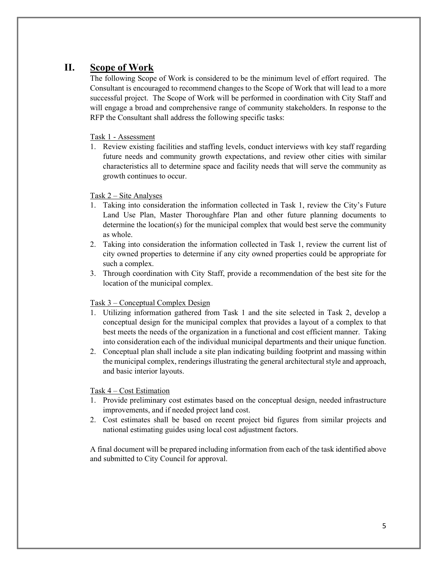## **II. Scope of Work**

The following Scope of Work is considered to be the minimum level of effort required. The Consultant is encouraged to recommend changes to the Scope of Work that will lead to a more successful project. The Scope of Work will be performed in coordination with City Staff and will engage a broad and comprehensive range of community stakeholders. In response to the RFP the Consultant shall address the following specific tasks:

#### Task 1 - Assessment

1. Review existing facilities and staffing levels, conduct interviews with key staff regarding future needs and community growth expectations, and review other cities with similar characteristics all to determine space and facility needs that will serve the community as growth continues to occur.

#### Task 2 – Site Analyses

- 1. Taking into consideration the information collected in Task 1, review the City's Future Land Use Plan, Master Thoroughfare Plan and other future planning documents to determine the location(s) for the municipal complex that would best serve the community as whole.
- 2. Taking into consideration the information collected in Task 1, review the current list of city owned properties to determine if any city owned properties could be appropriate for such a complex.
- 3. Through coordination with City Staff, provide a recommendation of the best site for the location of the municipal complex.

#### Task 3 – Conceptual Complex Design

- 1. Utilizing information gathered from Task 1 and the site selected in Task 2, develop a conceptual design for the municipal complex that provides a layout of a complex to that best meets the needs of the organization in a functional and cost efficient manner. Taking into consideration each of the individual municipal departments and their unique function.
- 2. Conceptual plan shall include a site plan indicating building footprint and massing within the municipal complex, renderings illustrating the general architectural style and approach, and basic interior layouts.

#### Task 4 – Cost Estimation

- 1. Provide preliminary cost estimates based on the conceptual design, needed infrastructure improvements, and if needed project land cost.
- 2. Cost estimates shall be based on recent project bid figures from similar projects and national estimating guides using local cost adjustment factors.

A final document will be prepared including information from each of the task identified above and submitted to City Council for approval.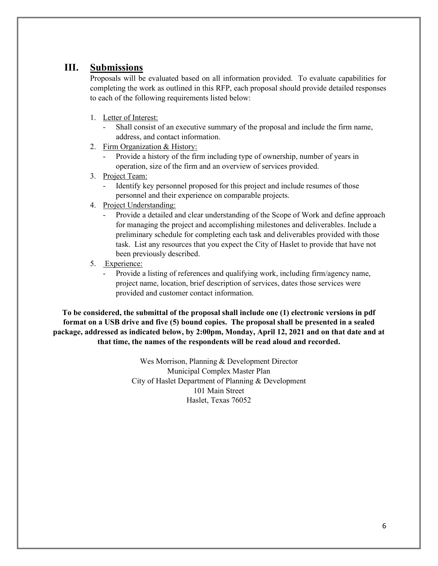## **III. Submissions**

Proposals will be evaluated based on all information provided. To evaluate capabilities for completing the work as outlined in this RFP, each proposal should provide detailed responses to each of the following requirements listed below:

- 1. Letter of Interest:
	- Shall consist of an executive summary of the proposal and include the firm name, address, and contact information.
- 2. Firm Organization & History:
	- Provide a history of the firm including type of ownership, number of years in operation, size of the firm and an overview of services provided.
- 3. Project Team:
	- Identify key personnel proposed for this project and include resumes of those personnel and their experience on comparable projects.
- 4. Project Understanding:
	- Provide a detailed and clear understanding of the Scope of Work and define approach for managing the project and accomplishing milestones and deliverables. Include a preliminary schedule for completing each task and deliverables provided with those task. List any resources that you expect the City of Haslet to provide that have not been previously described.
- 5. Experience:
	- Provide a listing of references and qualifying work, including firm/agency name, project name, location, brief description of services, dates those services were provided and customer contact information.

**To be considered, the submittal of the proposal shall include one (1) electronic versions in pdf format on a USB drive and five (5) bound copies. The proposal shall be presented in a sealed package, addressed as indicated below, by 2:00pm, Monday, April 12, 2021 and on that date and at that time, the names of the respondents will be read aloud and recorded.**

> Wes Morrison, Planning & Development Director Municipal Complex Master Plan City of Haslet Department of Planning & Development 101 Main Street Haslet, Texas 76052